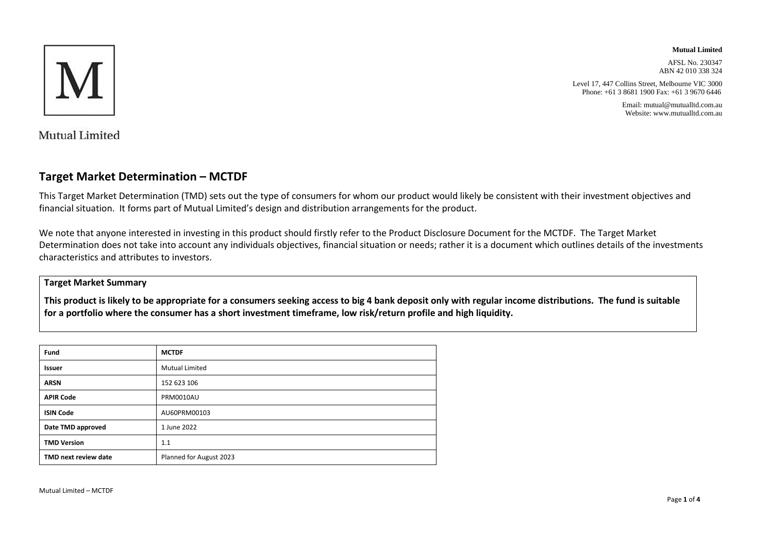

**Mutual Limited**

AFSL No. 230347 ABN 42 010 338 324

Level 17, 447 Collins Street, Melbourne VIC 3000 Phone: +61 3 8681 1900 Fax: +61 3 9670 6446

> Email: mutual@mutualltd.com.au Website: www.mutualltd.com.au

Mutual Limited

### **Target Market Determination – MCTDF**

This Target Market Determination (TMD) sets out the type of consumers for whom our product would likely be consistent with their investment objectives and financial situation. It forms part of Mutual Limited's design and distribution arrangements for the product.

We note that anyone interested in investing in this product should firstly refer to the Product Disclosure Document for the MCTDF. The Target Market Determination does not take into account any individuals objectives, financial situation or needs; rather it is a document which outlines details of the investments characteristics and attributes to investors.

#### **Target Market Summary**

**This product is likely to be appropriate for a consumers seeking access to big 4 bank deposit only with regular income distributions. The fund is suitable for a portfolio where the consumer has a short investment timeframe, low risk/return profile and high liquidity.**

| Fund                 | <b>MCTDF</b>            |
|----------------------|-------------------------|
| <b>Issuer</b>        | <b>Mutual Limited</b>   |
| <b>ARSN</b>          | 152 623 106             |
| <b>APIR Code</b>     | <b>PRM0010AU</b>        |
| <b>ISIN Code</b>     | AU60PRM00103            |
| Date TMD approved    | 1 June 2022             |
| <b>TMD Version</b>   | 1.1                     |
| TMD next review date | Planned for August 2023 |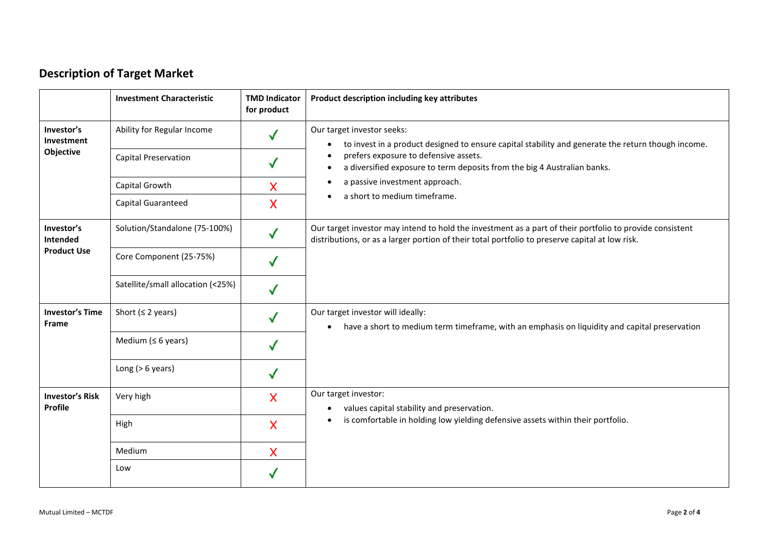# **Description of Target Market**

|                                              | <b>Investment Characteristic</b>  | <b>TMD Indicator</b><br>for product | Product description including key attributes                                                                                                                                                                |
|----------------------------------------------|-----------------------------------|-------------------------------------|-------------------------------------------------------------------------------------------------------------------------------------------------------------------------------------------------------------|
| Investor's<br>Investment<br>Objective        | Ability for Regular Income        |                                     | Our target investor seeks:<br>to invest in a product designed to ensure capital stability and generate the return though income.<br>$\bullet$                                                               |
|                                              | <b>Capital Preservation</b>       |                                     | prefers exposure to defensive assets.<br>$\bullet$<br>a diversified exposure to term deposits from the big 4 Australian banks.<br>$\bullet$                                                                 |
|                                              | Capital Growth                    | X                                   | a passive investment approach.                                                                                                                                                                              |
|                                              | Capital Guaranteed                | X                                   | a short to medium timeframe.<br>$\bullet$                                                                                                                                                                   |
| Investor's<br>Intended<br><b>Product Use</b> | Solution/Standalone (75-100%)     | $\checkmark$                        | Our target investor may intend to hold the investment as a part of their portfolio to provide consistent<br>distributions, or as a larger portion of their total portfolio to preserve capital at low risk. |
|                                              | Core Component (25-75%)           |                                     |                                                                                                                                                                                                             |
|                                              | Satellite/small allocation (<25%) |                                     |                                                                                                                                                                                                             |
| <b>Investor's Time</b><br>Frame              | Short ( $\leq$ 2 years)           |                                     | Our target investor will ideally:<br>have a short to medium term timeframe, with an emphasis on liquidity and capital preservation<br>$\bullet$                                                             |
|                                              | Medium ( $\leq 6$ years)          | $\checkmark$                        |                                                                                                                                                                                                             |
|                                              | Long ( $> 6$ years)               |                                     |                                                                                                                                                                                                             |
| <b>Investor's Risk</b><br><b>Profile</b>     | Very high                         | $\overline{\mathsf{X}}$             | Our target investor:<br>values capital stability and preservation.<br>$\bullet$                                                                                                                             |
|                                              | High                              | $\overline{\mathsf{X}}$             | is comfortable in holding low yielding defensive assets within their portfolio.<br>$\bullet$                                                                                                                |
|                                              | Medium                            | X                                   |                                                                                                                                                                                                             |
|                                              | Low                               |                                     |                                                                                                                                                                                                             |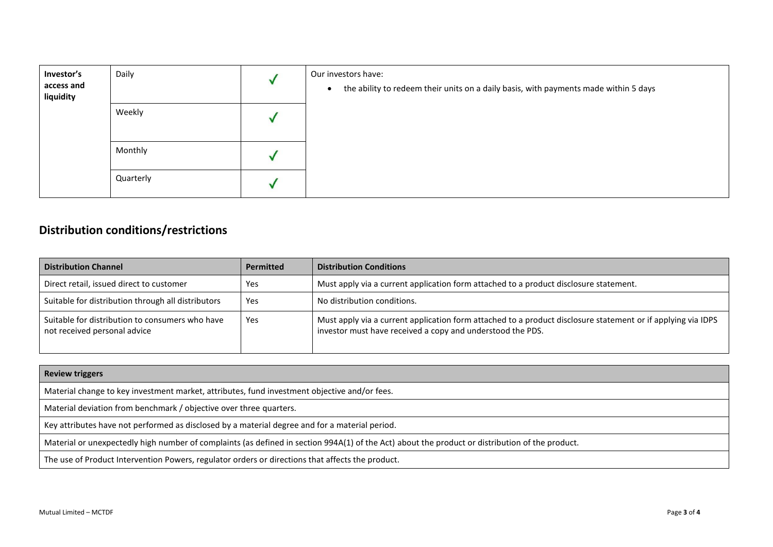| Investor's<br>access and<br>liquidity | Daily     | Our investors have:<br>the ability to redeem their units on a daily basis, with payments made within 5 days<br>$\bullet$ |
|---------------------------------------|-----------|--------------------------------------------------------------------------------------------------------------------------|
|                                       | Weekly    |                                                                                                                          |
|                                       | Monthly   |                                                                                                                          |
|                                       | Quarterly |                                                                                                                          |

# **Distribution conditions/restrictions**

| <b>Distribution Channel</b>                                                     | <b>Permitted</b> | <b>Distribution Conditions</b>                                                                                                                                             |
|---------------------------------------------------------------------------------|------------------|----------------------------------------------------------------------------------------------------------------------------------------------------------------------------|
| Direct retail, issued direct to customer                                        | Yes              | Must apply via a current application form attached to a product disclosure statement.                                                                                      |
| Suitable for distribution through all distributors                              | Yes              | No distribution conditions.                                                                                                                                                |
| Suitable for distribution to consumers who have<br>not received personal advice | Yes              | Must apply via a current application form attached to a product disclosure statement or if applying via IDPS<br>investor must have received a copy and understood the PDS. |

| <b>Review triggers</b>                                                                                                                          |
|-------------------------------------------------------------------------------------------------------------------------------------------------|
| Material change to key investment market, attributes, fund investment objective and/or fees.                                                    |
| Material deviation from benchmark / objective over three quarters.                                                                              |
| Key attributes have not performed as disclosed by a material degree and for a material period.                                                  |
| Material or unexpectedly high number of complaints (as defined in section 994A(1) of the Act) about the product or distribution of the product. |
| The use of Product Intervention Powers, regulator orders or directions that affects the product.                                                |